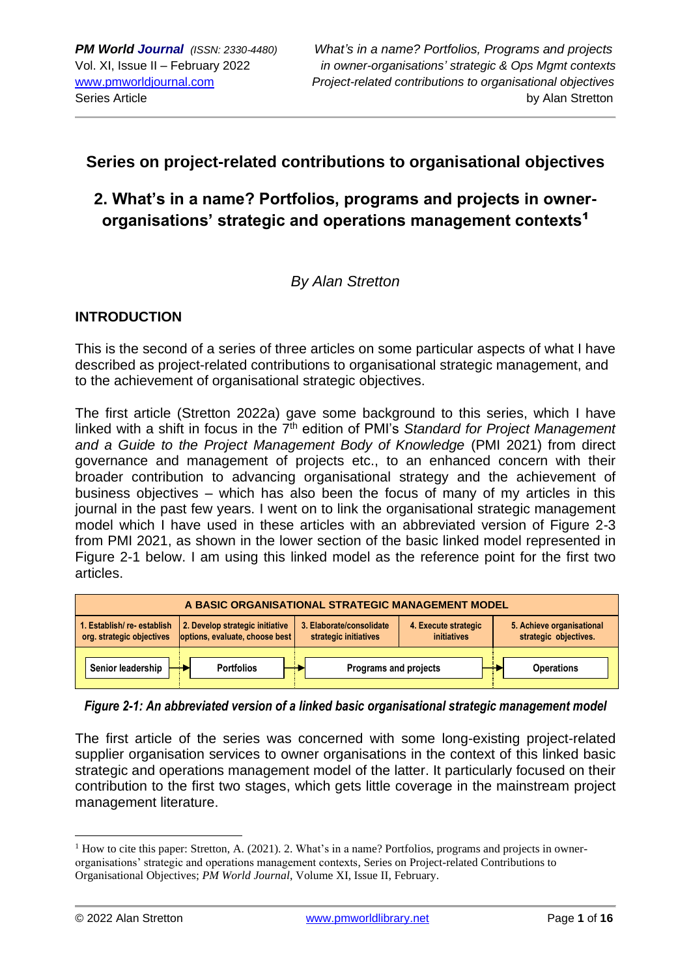## **Series on project-related contributions to organisational objectives**

# **2. What's in a name? Portfolios, programs and projects in ownerorganisations' strategic and operations management contexts**<sup>1</sup>

## *By Alan Stretton*

## **INTRODUCTION**

This is the second of a series of three articles on some particular aspects of what I have described as project-related contributions to organisational strategic management, and to the achievement of organisational strategic objectives.

The first article (Stretton 2022a) gave some background to this series, which I have linked with a shift in focus in the 7<sup>th</sup> edition of PMI's *Standard for Project Management and a Guide to the Project Management Body of Knowledge* (PMI 2021) from direct governance and management of projects etc., to an enhanced concern with their broader contribution to advancing organisational strategy and the achievement of business objectives – which has also been the focus of many of my articles in this journal in the past few years. I went on to link the organisational strategic management model which I have used in these articles with an abbreviated version of Figure 2-3 from PMI 2021, as shown in the lower section of the basic linked model represented in Figure 2-1 below. I am using this linked model as the reference point for the first two articles.

| A BASIC ORGANISATIONAL STRATEGIC MANAGEMENT MODEL      |                                                                   |                                                   |                                     |                                                    |
|--------------------------------------------------------|-------------------------------------------------------------------|---------------------------------------------------|-------------------------------------|----------------------------------------------------|
| 1. Establish/re-establish<br>org. strategic objectives | 2. Develop strategic initiative<br>options, evaluate, choose best | 3. Elaborate/consolidate<br>strategic initiatives | 4. Execute strategic<br>initiatives | 5. Achieve organisational<br>strategic objectives. |
| Senior leadership                                      | <b>Portfolios</b>                                                 | Programs and projects                             |                                     | <b>Operations</b>                                  |

## *Figure 2-1: An abbreviated version of a linked basic organisational strategic management model*

The first article of the series was concerned with some long-existing project-related supplier organisation services to owner organisations in the context of this linked basic strategic and operations management model of the latter. It particularly focused on their contribution to the first two stages, which gets little coverage in the mainstream project management literature.

<sup>&</sup>lt;sup>1</sup> How to cite this paper: Stretton, A. (2021). 2. What's in a name? Portfolios, programs and projects in ownerorganisations' strategic and operations management contexts, Series on Project-related Contributions to Organisational Objectives; *PM World Journal*, Volume XI, Issue II, February.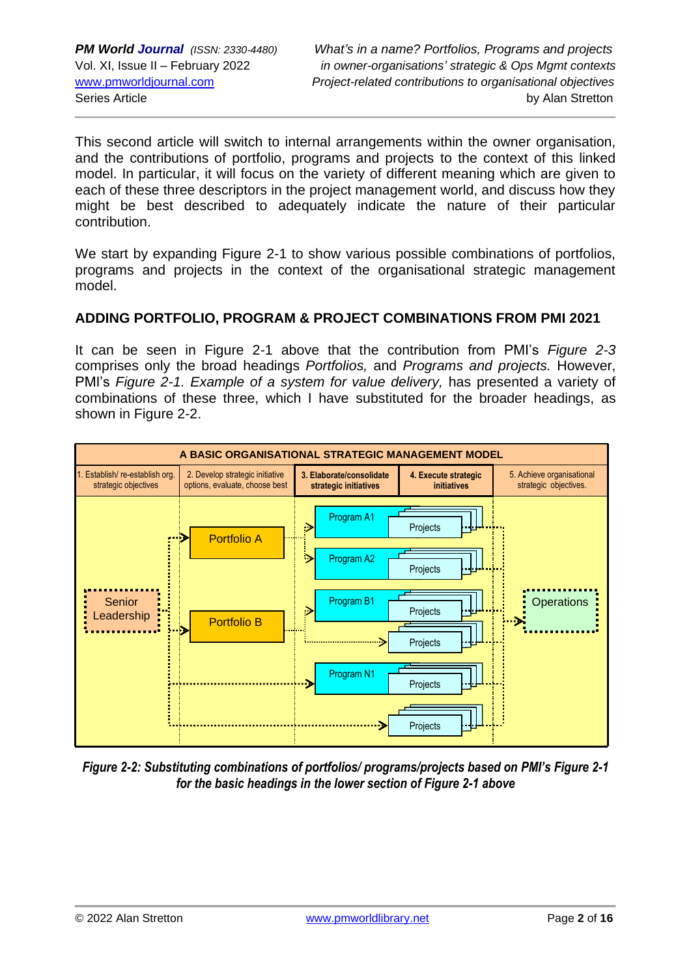This second article will switch to internal arrangements within the owner organisation, and the contributions of portfolio, programs and projects to the context of this linked model. In particular, it will focus on the variety of different meaning which are given to each of these three descriptors in the project management world, and discuss how they might be best described to adequately indicate the nature of their particular contribution.

We start by expanding Figure 2-1 to show various possible combinations of portfolios, programs and projects in the context of the organisational strategic management model.

## **ADDING PORTFOLIO, PROGRAM & PROJECT COMBINATIONS FROM PMI 2021**

It can be seen in Figure 2-1 above that the contribution from PMI's *Figure 2-3* comprises only the broad headings *Portfolios,* and *Programs and projects.* However, PMI's *Figure 2-1. Example of a system for value delivery,* has presented a variety of combinations of these three, which I have substituted for the broader headings, as shown in Figure 2-2.



*Figure 2-2: Substituting combinations of portfolios/ programs/projects based on PMI's Figure 2-1 for the basic headings in the lower section of Figure 2-1 above*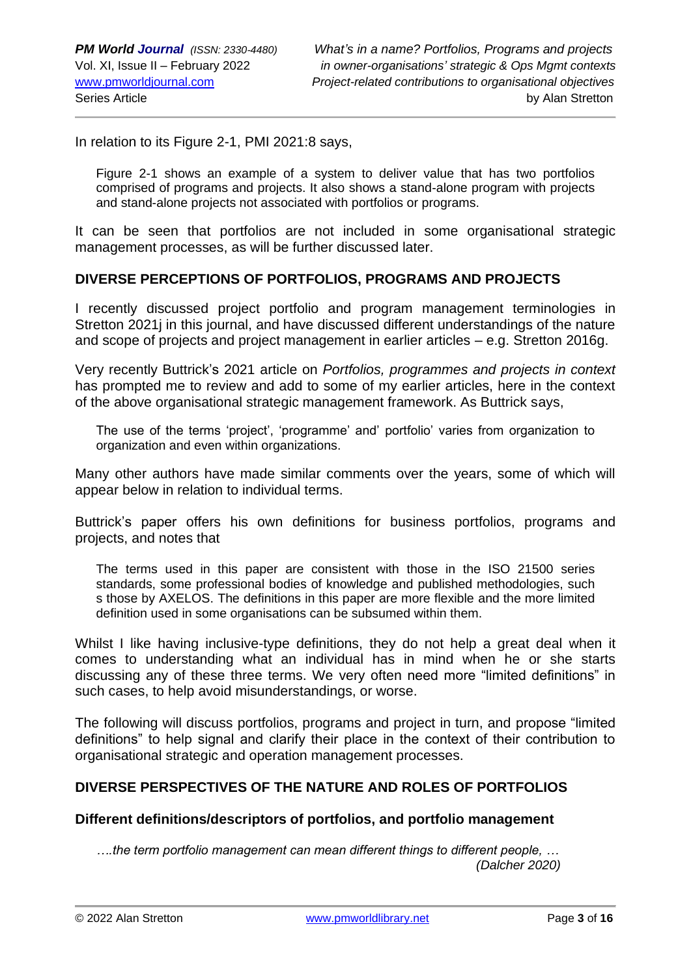In relation to its Figure 2-1, PMI 2021:8 says,

Figure 2-1 shows an example of a system to deliver value that has two portfolios comprised of programs and projects. It also shows a stand-alone program with projects and stand-alone projects not associated with portfolios or programs.

It can be seen that portfolios are not included in some organisational strategic management processes, as will be further discussed later.

## **DIVERSE PERCEPTIONS OF PORTFOLIOS, PROGRAMS AND PROJECTS**

I recently discussed project portfolio and program management terminologies in Stretton 2021j in this journal, and have discussed different understandings of the nature and scope of projects and project management in earlier articles – e.g. Stretton 2016g.

Very recently Buttrick's 2021 article on *Portfolios, programmes and projects in context* has prompted me to review and add to some of my earlier articles, here in the context of the above organisational strategic management framework. As Buttrick says,

The use of the terms 'project', 'programme' and' portfolio' varies from organization to organization and even within organizations.

Many other authors have made similar comments over the years, some of which will appear below in relation to individual terms.

Buttrick's paper offers his own definitions for business portfolios, programs and projects, and notes that

The terms used in this paper are consistent with those in the ISO 21500 series standards, some professional bodies of knowledge and published methodologies, such s those by AXELOS. The definitions in this paper are more flexible and the more limited definition used in some organisations can be subsumed within them.

Whilst I like having inclusive-type definitions, they do not help a great deal when it comes to understanding what an individual has in mind when he or she starts discussing any of these three terms. We very often need more "limited definitions" in such cases, to help avoid misunderstandings, or worse.

The following will discuss portfolios, programs and project in turn, and propose "limited definitions" to help signal and clarify their place in the context of their contribution to organisational strategic and operation management processes.

### **DIVERSE PERSPECTIVES OF THE NATURE AND ROLES OF PORTFOLIOS**

#### **Different definitions/descriptors of portfolios, and portfolio management**

*….the term portfolio management can mean different things to different people, … (Dalcher 2020)*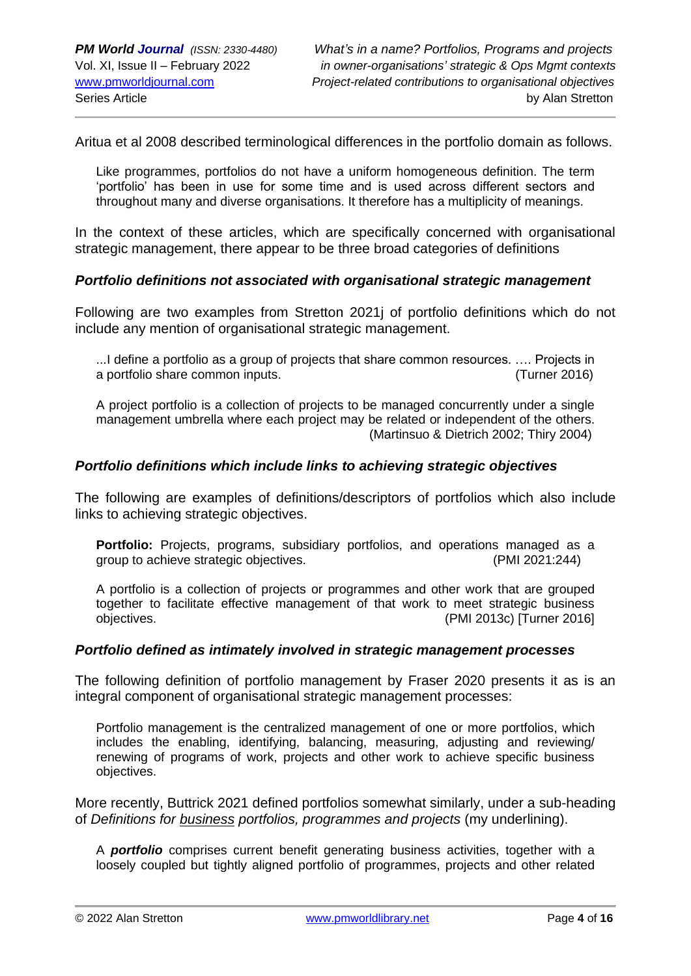Aritua et al 2008 described terminological differences in the portfolio domain as follows.

Like programmes, portfolios do not have a uniform homogeneous definition. The term 'portfolio' has been in use for some time and is used across different sectors and throughout many and diverse organisations. It therefore has a multiplicity of meanings.

In the context of these articles, which are specifically concerned with organisational strategic management, there appear to be three broad categories of definitions

### *Portfolio definitions not associated with organisational strategic management*

Following are two examples from Stretton 2021j of portfolio definitions which do not include any mention of organisational strategic management.

...I define a portfolio as a group of projects that share common resources. …. Projects in a portfolio share common inputs. (Turner 2016)

A project portfolio is a collection of projects to be managed concurrently under a single management umbrella where each project may be related or independent of the others. (Martinsuo & Dietrich 2002; Thiry 2004)

### *Portfolio definitions which include links to achieving strategic objectives*

The following are examples of definitions/descriptors of portfolios which also include links to achieving strategic objectives.

**Portfolio:** Projects, programs, subsidiary portfolios, and operations managed as a group to achieve strategic objectives. (PMI 2021:244)

A portfolio is a collection of projects or programmes and other work that are grouped together to facilitate effective management of that work to meet strategic business objectives. (PMI 2013c) [Turner 2016]

#### *Portfolio defined as intimately involved in strategic management processes*

The following definition of portfolio management by Fraser 2020 presents it as is an integral component of organisational strategic management processes:

Portfolio management is the centralized management of one or more portfolios, which includes the enabling, identifying, balancing, measuring, adjusting and reviewing/ renewing of programs of work, projects and other work to achieve specific business objectives.

More recently, Buttrick 2021 defined portfolios somewhat similarly, under a sub-heading of *Definitions for business portfolios, programmes and projects* (my underlining).

A *portfolio* comprises current benefit generating business activities, together with a loosely coupled but tightly aligned portfolio of programmes, projects and other related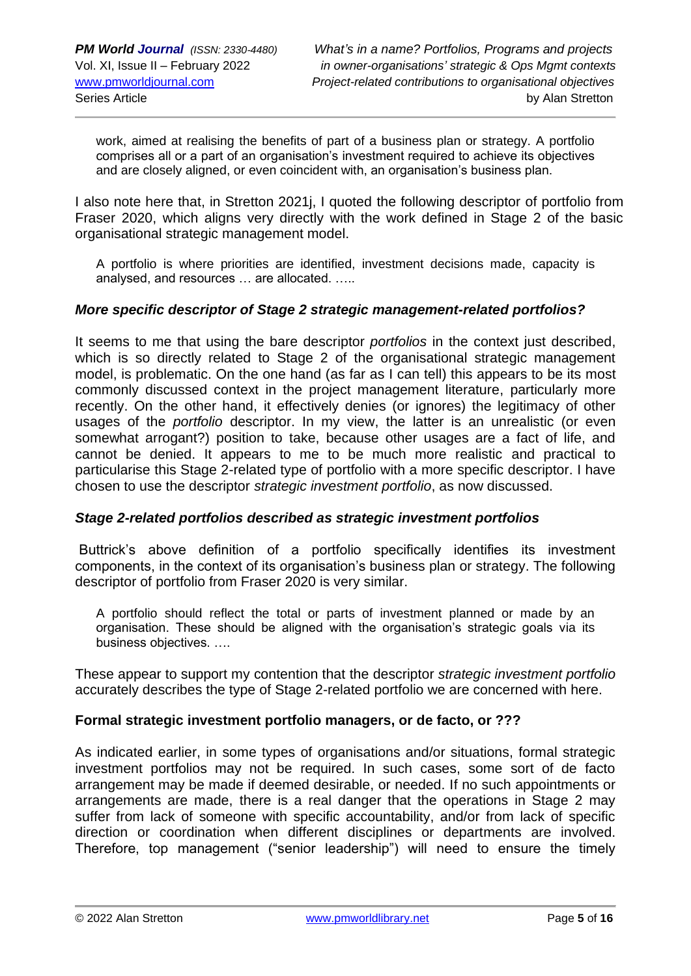work, aimed at realising the benefits of part of a business plan or strategy. A portfolio comprises all or a part of an organisation's investment required to achieve its objectives and are closely aligned, or even coincident with, an organisation's business plan.

I also note here that, in Stretton 2021j, I quoted the following descriptor of portfolio from Fraser 2020, which aligns very directly with the work defined in Stage 2 of the basic organisational strategic management model.

A portfolio is where priorities are identified, investment decisions made, capacity is analysed, and resources … are allocated. …..

### *More specific descriptor of Stage 2 strategic management-related portfolios?*

It seems to me that using the bare descriptor *portfolios* in the context just described, which is so directly related to Stage 2 of the organisational strategic management model, is problematic. On the one hand (as far as I can tell) this appears to be its most commonly discussed context in the project management literature, particularly more recently. On the other hand, it effectively denies (or ignores) the legitimacy of other usages of the *portfolio* descriptor. In my view, the latter is an unrealistic (or even somewhat arrogant?) position to take, because other usages are a fact of life, and cannot be denied. It appears to me to be much more realistic and practical to particularise this Stage 2-related type of portfolio with a more specific descriptor. I have chosen to use the descriptor *strategic investment portfolio*, as now discussed.

#### *Stage 2-related portfolios described as strategic investment portfolios*

Buttrick's above definition of a portfolio specifically identifies its investment components, in the context of its organisation's business plan or strategy. The following descriptor of portfolio from Fraser 2020 is very similar.

A portfolio should reflect the total or parts of investment planned or made by an organisation. These should be aligned with the organisation's strategic goals via its business objectives. ….

These appear to support my contention that the descriptor *strategic investment portfolio* accurately describes the type of Stage 2-related portfolio we are concerned with here.

#### **Formal strategic investment portfolio managers, or de facto, or ???**

As indicated earlier, in some types of organisations and/or situations, formal strategic investment portfolios may not be required. In such cases, some sort of de facto arrangement may be made if deemed desirable, or needed. If no such appointments or arrangements are made, there is a real danger that the operations in Stage 2 may suffer from lack of someone with specific accountability, and/or from lack of specific direction or coordination when different disciplines or departments are involved. Therefore, top management ("senior leadership") will need to ensure the timely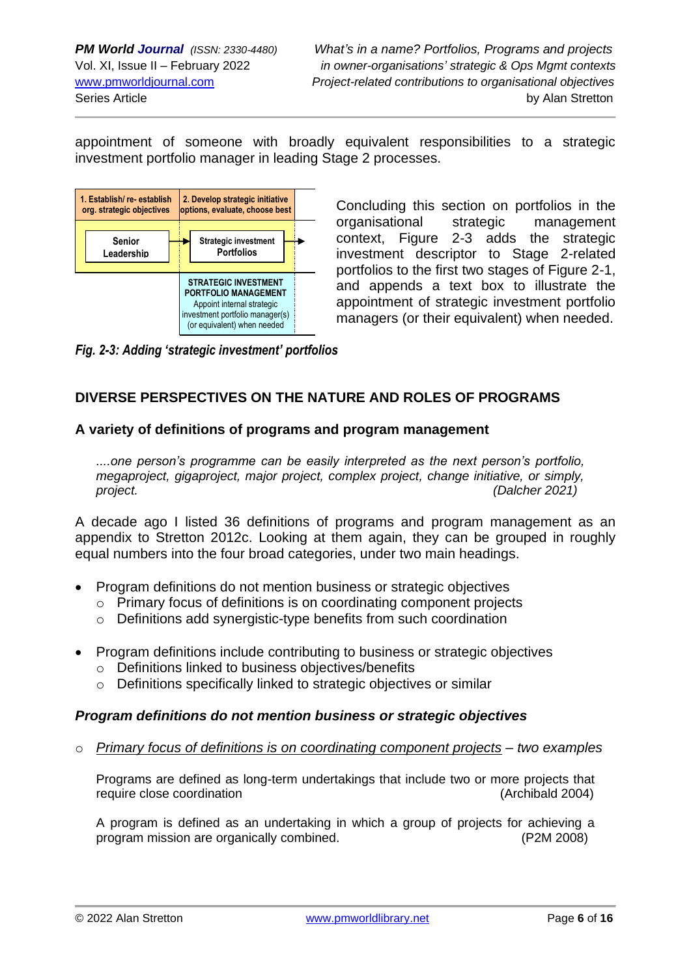appointment of someone with broadly equivalent responsibilities to a strategic investment portfolio manager in leading Stage 2 processes.



Concluding this section on portfolios in the organisational strategic management context, Figure 2-3 adds the strategic investment descriptor to Stage 2-related portfolios to the first two stages of Figure 2-1, and appends a text box to illustrate the appointment of strategic investment portfolio managers (or their equivalent) when needed.

*Fig. 2-3: Adding 'strategic investment' portfolios*

## **DIVERSE PERSPECTIVES ON THE NATURE AND ROLES OF PROGRAMS**

## **A variety of definitions of programs and program management**

*....one person's programme can be easily interpreted as the next person's portfolio, megaproject, gigaproject, major project, complex project, change initiative, or simply, project. (Dalcher 2021)*

A decade ago I listed 36 definitions of programs and program management as an appendix to Stretton 2012c. Looking at them again, they can be grouped in roughly equal numbers into the four broad categories, under two main headings.

- Program definitions do not mention business or strategic objectives
	- o Primary focus of definitions is on coordinating component projects
	- o Definitions add synergistic-type benefits from such coordination
- Program definitions include contributing to business or strategic objectives
	- o Definitions linked to business objectives/benefits
	- o Definitions specifically linked to strategic objectives or similar

## *Program definitions do not mention business or strategic objectives*

o *Primary focus of definitions is on coordinating component projects – two examples*

Programs are defined as long-term undertakings that include two or more projects that require close coordination (Archibald 2004)

A program is defined as an undertaking in which a group of projects for achieving a program mission are organically combined. (P2M 2008)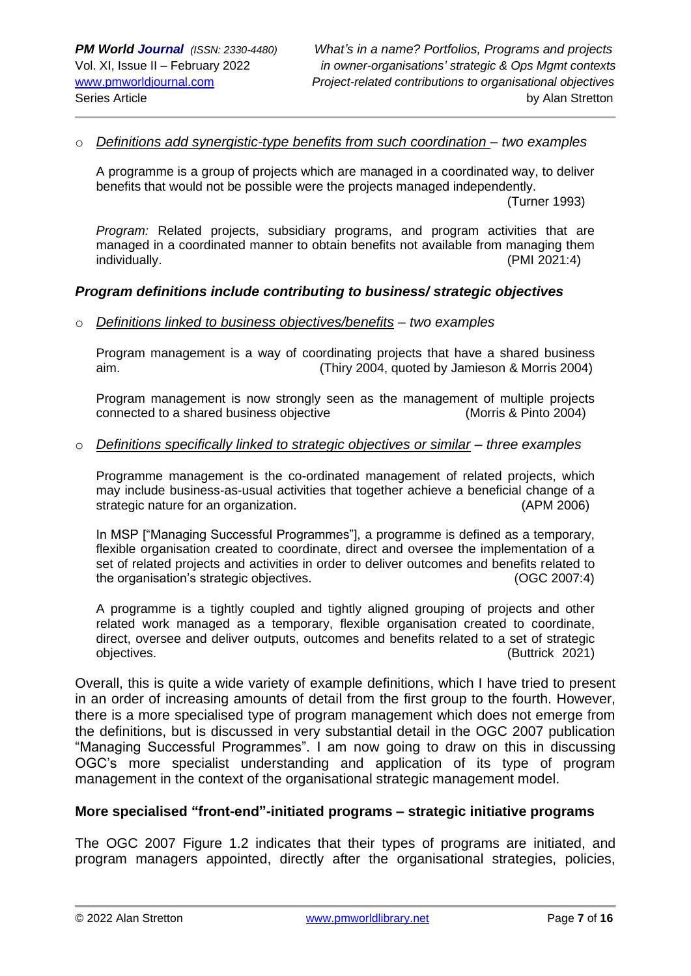#### o *Definitions add synergistic-type benefits from such coordination – two examples*

A programme is a group of projects which are managed in a coordinated way, to deliver benefits that would not be possible were the projects managed independently.

(Turner 1993)

*Program:* Related projects, subsidiary programs, and program activities that are managed in a coordinated manner to obtain benefits not available from managing them individually. (PMI 2021:4)

#### *Program definitions include contributing to business/ strategic objectives*

o *Definitions linked to business objectives/benefits – two examples*

Program management is a way of coordinating projects that have a shared business aim. (Thiry 2004, quoted by Jamieson & Morris 2004)

Program management is now strongly seen as the management of multiple projects connected to a shared business objective (Morris & Pinto 2004)

#### o *Definitions specifically linked to strategic objectives or similar – three examples*

Programme management is the co-ordinated management of related projects, which may include business-as-usual activities that together achieve a beneficial change of a strategic nature for an organization. (APM 2006)

In MSP ["Managing Successful Programmes"], a programme is defined as a temporary, flexible organisation created to coordinate, direct and oversee the implementation of a set of related projects and activities in order to deliver outcomes and benefits related to the organisation's strategic objectives. (OGC 2007:4)

A programme is a tightly coupled and tightly aligned grouping of projects and other related work managed as a temporary, flexible organisation created to coordinate, direct, oversee and deliver outputs, outcomes and benefits related to a set of strategic objectives. (Buttrick 2021)

Overall, this is quite a wide variety of example definitions, which I have tried to present in an order of increasing amounts of detail from the first group to the fourth. However, there is a more specialised type of program management which does not emerge from the definitions, but is discussed in very substantial detail in the OGC 2007 publication "Managing Successful Programmes". I am now going to draw on this in discussing OGC's more specialist understanding and application of its type of program management in the context of the organisational strategic management model.

#### **More specialised "front-end"-initiated programs – strategic initiative programs**

The OGC 2007 Figure 1.2 indicates that their types of programs are initiated, and program managers appointed, directly after the organisational strategies, policies,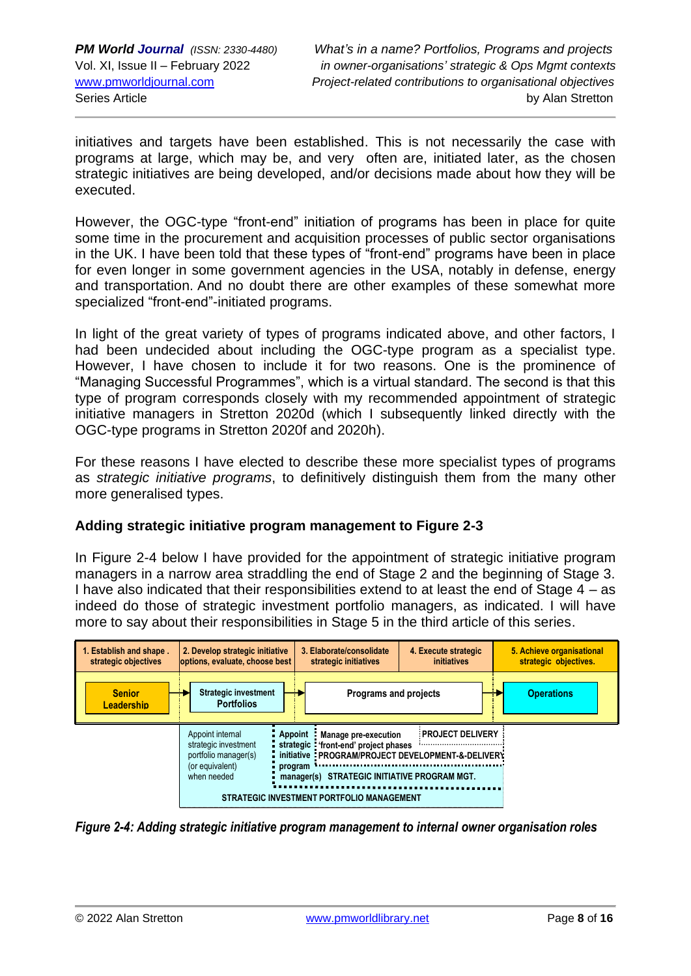initiatives and targets have been established. This is not necessarily the case with programs at large, which may be, and very often are, initiated later, as the chosen strategic initiatives are being developed, and/or decisions made about how they will be executed.

However, the OGC-type "front-end" initiation of programs has been in place for quite some time in the procurement and acquisition processes of public sector organisations in the UK. I have been told that these types of "front-end" programs have been in place for even longer in some government agencies in the USA, notably in defense, energy and transportation. And no doubt there are other examples of these somewhat more specialized "front-end"-initiated programs.

In light of the great variety of types of programs indicated above, and other factors, I had been undecided about including the OGC-type program as a specialist type. However, I have chosen to include it for two reasons. One is the prominence of "Managing Successful Programmes", which is a virtual standard. The second is that this type of program corresponds closely with my recommended appointment of strategic initiative managers in Stretton 2020d (which I subsequently linked directly with the OGC-type programs in Stretton 2020f and 2020h).

For these reasons I have elected to describe these more specialist types of programs as *strategic initiative programs*, to definitively distinguish them from the many other more generalised types.

## **Adding strategic initiative program management to Figure 2-3**

In Figure 2-4 below I have provided for the appointment of strategic initiative program managers in a narrow area straddling the end of Stage 2 and the beginning of Stage 3. I have also indicated that their responsibilities extend to at least the end of Stage 4 – as indeed do those of strategic investment portfolio managers, as indicated. I will have more to say about their responsibilities in Stage 5 in the third article of this series.



*Figure 2-4: Adding strategic initiative program management to internal owner organisation roles*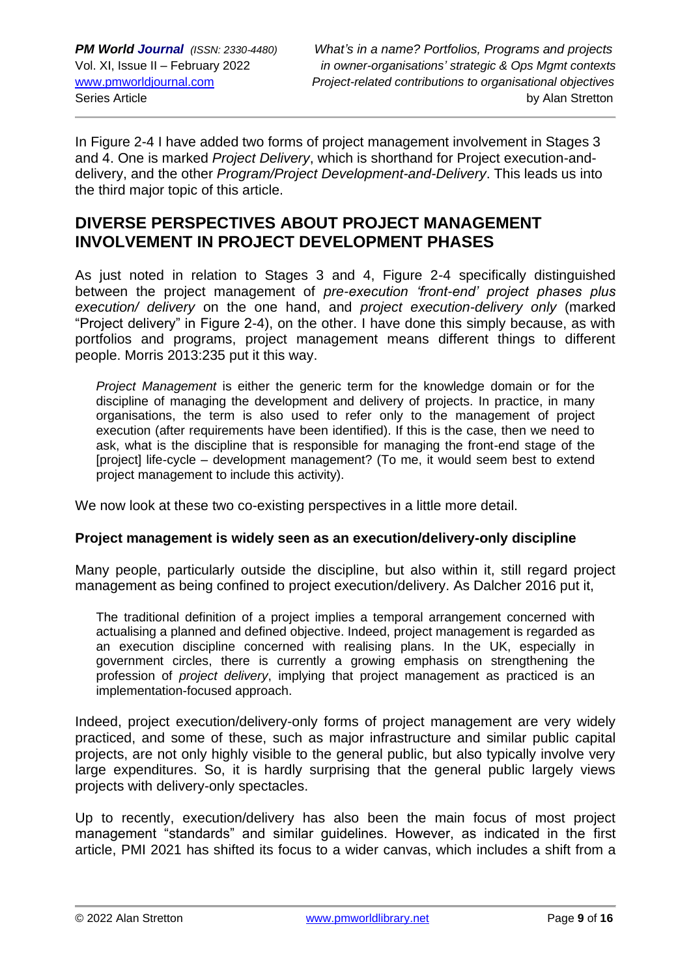In Figure 2-4 I have added two forms of project management involvement in Stages 3 and 4. One is marked *Project Delivery*, which is shorthand for Project execution-anddelivery, and the other *Program/Project Development-and-Delivery*. This leads us into the third major topic of this article.

## **DIVERSE PERSPECTIVES ABOUT PROJECT MANAGEMENT INVOLVEMENT IN PROJECT DEVELOPMENT PHASES**

As just noted in relation to Stages 3 and 4. Figure 2-4 specifically distinguished between the project management of *pre-execution 'front-end' project phases plus execution/ delivery* on the one hand, and *project execution-delivery only* (marked "Project delivery" in Figure 2-4), on the other. I have done this simply because, as with portfolios and programs, project management means different things to different people. Morris 2013:235 put it this way.

*Project Management* is either the generic term for the knowledge domain or for the discipline of managing the development and delivery of projects. In practice, in many organisations, the term is also used to refer only to the management of project execution (after requirements have been identified). If this is the case, then we need to ask, what is the discipline that is responsible for managing the front-end stage of the [project] life-cycle – development management? (To me, it would seem best to extend project management to include this activity).

We now look at these two co-existing perspectives in a little more detail.

## **Project management is widely seen as an execution/delivery-only discipline**

Many people, particularly outside the discipline, but also within it, still regard project management as being confined to project execution/delivery. As Dalcher 2016 put it,

The traditional definition of a project implies a temporal arrangement concerned with actualising a planned and defined objective. Indeed, project management is regarded as an execution discipline concerned with realising plans. In the UK, especially in government circles, there is currently a growing emphasis on strengthening the profession of *project delivery*, implying that project management as practiced is an implementation-focused approach.

Indeed, project execution/delivery-only forms of project management are very widely practiced, and some of these, such as major infrastructure and similar public capital projects, are not only highly visible to the general public, but also typically involve very large expenditures. So, it is hardly surprising that the general public largely views projects with delivery-only spectacles.

Up to recently, execution/delivery has also been the main focus of most project management "standards" and similar guidelines. However, as indicated in the first article, PMI 2021 has shifted its focus to a wider canvas, which includes a shift from a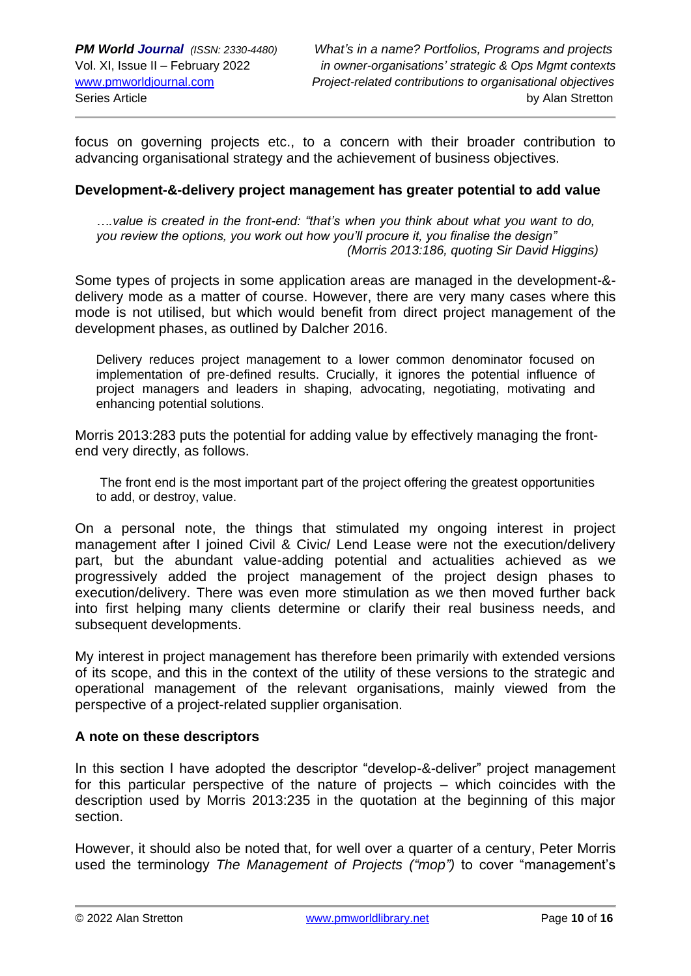focus on governing projects etc., to a concern with their broader contribution to advancing organisational strategy and the achievement of business objectives.

#### **Development-&-delivery project management has greater potential to add value**

*….value is created in the front-end: "that's when you think about what you want to do, you review the options, you work out how you'll procure it, you finalise the design" (Morris 2013:186, quoting Sir David Higgins)*

Some types of projects in some application areas are managed in the development-& delivery mode as a matter of course. However, there are very many cases where this mode is not utilised, but which would benefit from direct project management of the development phases, as outlined by Dalcher 2016.

Delivery reduces project management to a lower common denominator focused on implementation of pre-defined results. Crucially, it ignores the potential influence of project managers and leaders in shaping, advocating, negotiating, motivating and enhancing potential solutions.

Morris 2013:283 puts the potential for adding value by effectively managing the frontend very directly, as follows.

The front end is the most important part of the project offering the greatest opportunities to add, or destroy, value.

On a personal note, the things that stimulated my ongoing interest in project management after I joined Civil & Civic/ Lend Lease were not the execution/delivery part, but the abundant value-adding potential and actualities achieved as we progressively added the project management of the project design phases to execution/delivery. There was even more stimulation as we then moved further back into first helping many clients determine or clarify their real business needs, and subsequent developments.

My interest in project management has therefore been primarily with extended versions of its scope, and this in the context of the utility of these versions to the strategic and operational management of the relevant organisations, mainly viewed from the perspective of a project-related supplier organisation.

#### **A note on these descriptors**

In this section I have adopted the descriptor "develop-&-deliver" project management for this particular perspective of the nature of projects – which coincides with the description used by Morris 2013:235 in the quotation at the beginning of this major section.

However, it should also be noted that, for well over a quarter of a century, Peter Morris used the terminology *The Management of Projects ("mop")* to cover "management's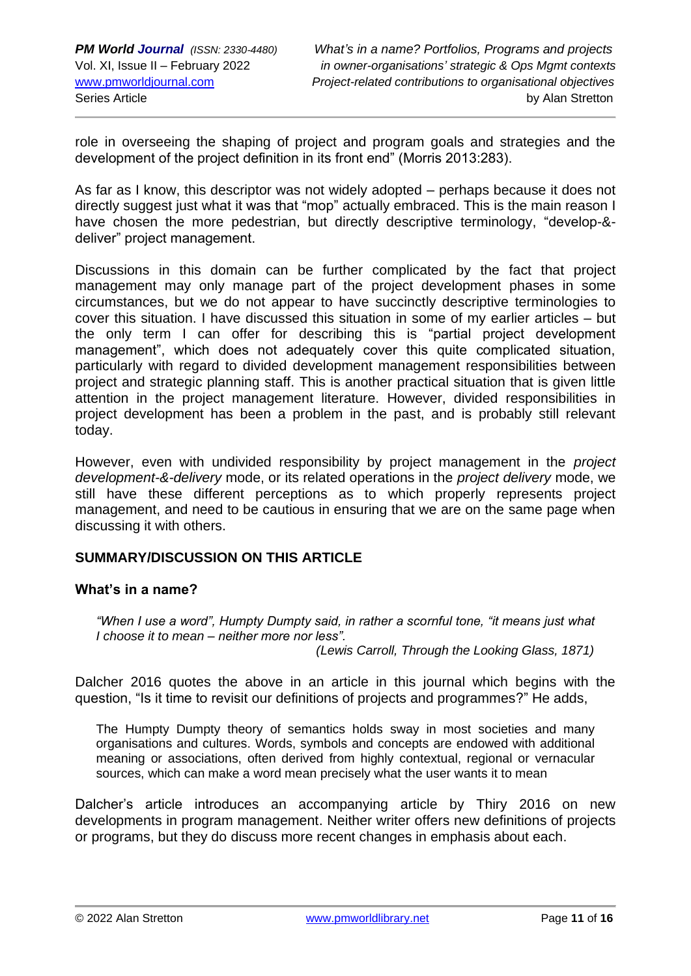role in overseeing the shaping of project and program goals and strategies and the development of the project definition in its front end" (Morris 2013:283).

As far as I know, this descriptor was not widely adopted – perhaps because it does not directly suggest just what it was that "mop" actually embraced. This is the main reason I have chosen the more pedestrian, but directly descriptive terminology, "develop-& deliver" project management.

Discussions in this domain can be further complicated by the fact that project management may only manage part of the project development phases in some circumstances, but we do not appear to have succinctly descriptive terminologies to cover this situation. I have discussed this situation in some of my earlier articles – but the only term I can offer for describing this is "partial project development management", which does not adequately cover this quite complicated situation, particularly with regard to divided development management responsibilities between project and strategic planning staff. This is another practical situation that is given little attention in the project management literature. However, divided responsibilities in project development has been a problem in the past, and is probably still relevant today.

However, even with undivided responsibility by project management in the *project development-&-delivery* mode, or its related operations in the *project delivery* mode, we still have these different perceptions as to which properly represents project management, and need to be cautious in ensuring that we are on the same page when discussing it with others.

## **SUMMARY/DISCUSSION ON THIS ARTICLE**

## **What's in a name?**

*"When I use a word", Humpty Dumpty said, in rather a scornful tone, "it means just what I choose it to mean – neither more nor less".* 

 *(Lewis Carroll, Through the Looking Glass, 1871)*

Dalcher 2016 quotes the above in an article in this journal which begins with the question, "Is it time to revisit our definitions of projects and programmes?" He adds,

The Humpty Dumpty theory of semantics holds sway in most societies and many organisations and cultures. Words, symbols and concepts are endowed with additional meaning or associations, often derived from highly contextual, regional or vernacular sources, which can make a word mean precisely what the user wants it to mean

Dalcher's article introduces an accompanying article by Thiry 2016 on new developments in program management. Neither writer offers new definitions of projects or programs, but they do discuss more recent changes in emphasis about each.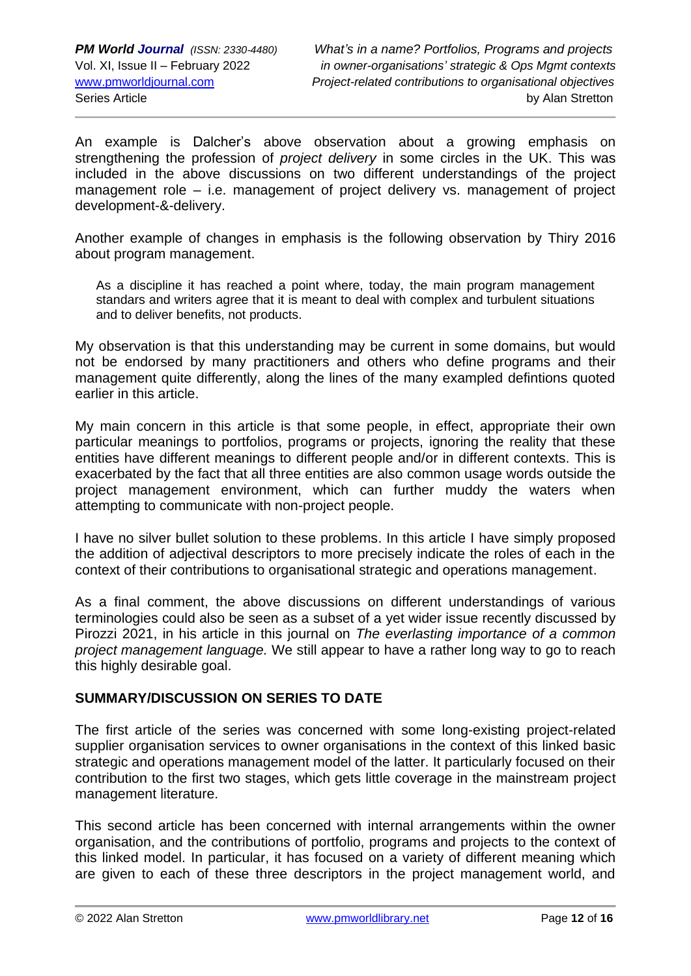An example is Dalcher's above observation about a growing emphasis on strengthening the profession of *project delivery* in some circles in the UK. This was included in the above discussions on two different understandings of the project management role – i.e. management of project delivery vs. management of project development-&-delivery.

Another example of changes in emphasis is the following observation by Thiry 2016 about program management.

As a discipline it has reached a point where, today, the main program management standars and writers agree that it is meant to deal with complex and turbulent situations and to deliver benefits, not products.

My observation is that this understanding may be current in some domains, but would not be endorsed by many practitioners and others who define programs and their management quite differently, along the lines of the many exampled defintions quoted earlier in this article.

My main concern in this article is that some people, in effect, appropriate their own particular meanings to portfolios, programs or projects, ignoring the reality that these entities have different meanings to different people and/or in different contexts. This is exacerbated by the fact that all three entities are also common usage words outside the project management environment, which can further muddy the waters when attempting to communicate with non-project people.

I have no silver bullet solution to these problems. In this article I have simply proposed the addition of adjectival descriptors to more precisely indicate the roles of each in the context of their contributions to organisational strategic and operations management.

As a final comment, the above discussions on different understandings of various terminologies could also be seen as a subset of a yet wider issue recently discussed by Pirozzi 2021, in his article in this journal on *The everlasting importance of a common project management language.* We still appear to have a rather long way to go to reach this highly desirable goal.

## **SUMMARY/DISCUSSION ON SERIES TO DATE**

The first article of the series was concerned with some long-existing project-related supplier organisation services to owner organisations in the context of this linked basic strategic and operations management model of the latter. It particularly focused on their contribution to the first two stages, which gets little coverage in the mainstream project management literature.

This second article has been concerned with internal arrangements within the owner organisation, and the contributions of portfolio, programs and projects to the context of this linked model. In particular, it has focused on a variety of different meaning which are given to each of these three descriptors in the project management world, and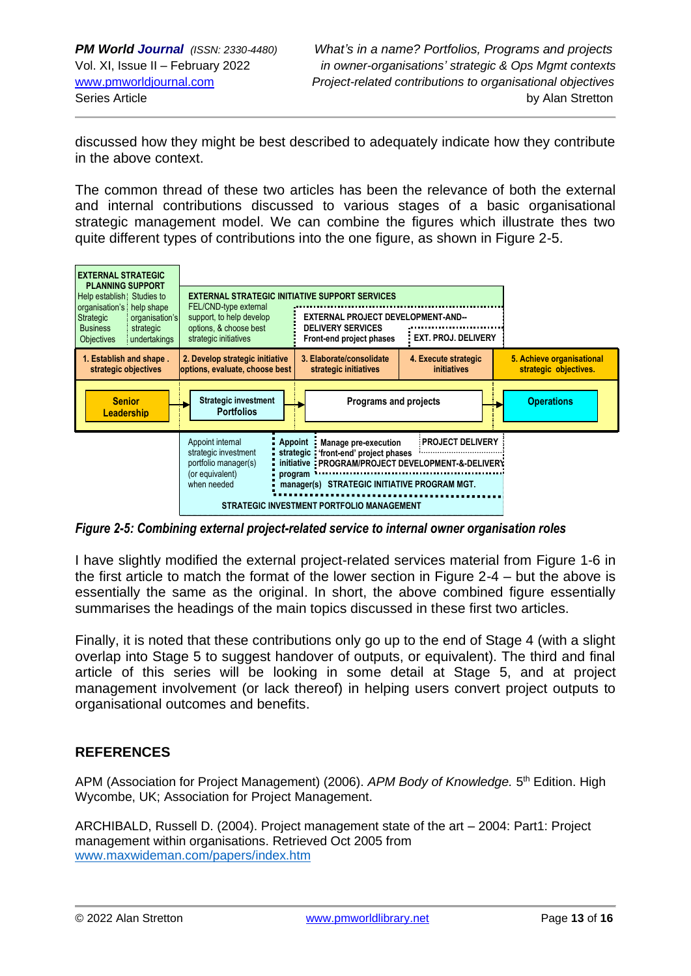discussed how they might be best described to adequately indicate how they contribute in the above context.

The common thread of these two articles has been the relevance of both the external and internal contributions discussed to various stages of a basic organisational strategic management model. We can combine the figures which illustrate thes two quite different types of contributions into the one figure, as shown in Figure 2-5.



*Figure 2-5: Combining external project-related service to internal owner organisation roles* 

I have slightly modified the external project-related services material from Figure 1-6 in the first article to match the format of the lower section in Figure 2-4 – but the above is essentially the same as the original. In short, the above combined figure essentially summarises the headings of the main topics discussed in these first two articles.

Finally, it is noted that these contributions only go up to the end of Stage 4 (with a slight overlap into Stage 5 to suggest handover of outputs, or equivalent). The third and final article of this series will be looking in some detail at Stage 5, and at project management involvement (or lack thereof) in helping users convert project outputs to organisational outcomes and benefits.

## **REFERENCES**

APM (Association for Project Management) (2006). APM Body of Knowledge. 5<sup>th</sup> Edition. High Wycombe, UK; Association for Project Management.

ARCHIBALD, Russell D. (2004). Project management state of the art – 2004: Part1: Project management within organisations. Retrieved Oct 2005 from [www.maxwideman.com/papers/index.htm](http://www.maxwideman.com/papers/index.htm)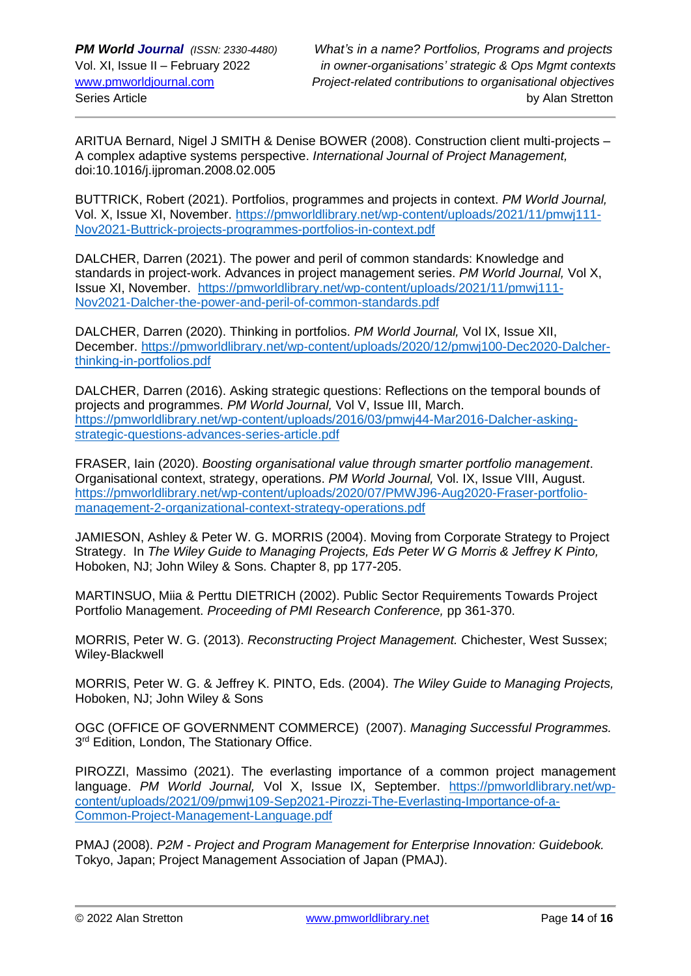ARITUA Bernard, Nigel J SMITH & Denise BOWER (2008). Construction client multi-projects – A complex adaptive systems perspective. *International Journal of Project Management,*  doi:10.1016/j.ijproman.2008.02.005

BUTTRICK, Robert (2021). Portfolios, programmes and projects in context. *PM World Journal,*  Vol. X, Issue XI, November. [https://pmworldlibrary.net/wp-content/uploads/2021/11/pmwj111-](https://pmworldlibrary.net/wp-content/uploads/2021/11/pmwj111-Nov2021-Buttrick-projects-programmes-portfolios-in-context.pdf) [Nov2021-Buttrick-projects-programmes-portfolios-in-context.pdf](https://pmworldlibrary.net/wp-content/uploads/2021/11/pmwj111-Nov2021-Buttrick-projects-programmes-portfolios-in-context.pdf)

DALCHER, Darren (2021). The power and peril of common standards: Knowledge and standards in project-work. Advances in project management series. *PM World Journal,* Vol X, Issue XI, November. [https://pmworldlibrary.net/wp-content/uploads/2021/11/pmwj111-](https://pmworldlibrary.net/wp-content/uploads/2021/11/pmwj111-Nov2021-Dalcher-the-power-and-peril-of-common-standards.pdf) [Nov2021-Dalcher-the-power-and-peril-of-common-standards.pdf](https://pmworldlibrary.net/wp-content/uploads/2021/11/pmwj111-Nov2021-Dalcher-the-power-and-peril-of-common-standards.pdf)

DALCHER, Darren (2020). Thinking in portfolios. *PM World Journal,* Vol IX, Issue XII, December. [https://pmworldlibrary.net/wp-content/uploads/2020/12/pmwj100-Dec2020-Dalcher](https://pmworldlibrary.net/wp-content/uploads/2020/12/pmwj100-Dec2020-Dalcher-thinking-in-portfolios.pdf)[thinking-in-portfolios.pdf](https://pmworldlibrary.net/wp-content/uploads/2020/12/pmwj100-Dec2020-Dalcher-thinking-in-portfolios.pdf)

DALCHER, Darren (2016). Asking strategic questions: Reflections on the temporal bounds of projects and programmes. *PM World Journal,* Vol V, Issue III, March. [https://pmworldlibrary.net/wp-content/uploads/2016/03/pmwj44-Mar2016-Dalcher-asking](https://pmworldlibrary.net/wp-content/uploads/2016/03/pmwj44-Mar2016-Dalcher-asking-strategic-questions-advances-series-article.pdf)[strategic-questions-advances-series-article.pdf](https://pmworldlibrary.net/wp-content/uploads/2016/03/pmwj44-Mar2016-Dalcher-asking-strategic-questions-advances-series-article.pdf)

FRASER, Iain (2020). *Boosting organisational value through smarter portfolio management*. Organisational context, strategy, operations. *PM World Journal,* Vol. IX, Issue VIII, August. [https://pmworldlibrary.net/wp-content/uploads/2020/07/PMWJ96-Aug2020-Fraser-portfolio](https://pmworldlibrary.net/wp-content/uploads/2020/07/PMWJ96-Aug2020-Fraser-portfolio-management-2-organizational-context-strategy-operations.pdf)[management-2-organizational-context-strategy-operations.pdf](https://pmworldlibrary.net/wp-content/uploads/2020/07/PMWJ96-Aug2020-Fraser-portfolio-management-2-organizational-context-strategy-operations.pdf)

JAMIESON, Ashley & Peter W. G. MORRIS (2004). Moving from Corporate Strategy to Project Strategy. In *The Wiley Guide to Managing Projects, Eds Peter W G Morris & Jeffrey K Pinto,*  Hoboken, NJ; John Wiley & Sons. Chapter 8, pp 177-205.

MARTINSUO, Miia & Perttu DIETRICH (2002). Public Sector Requirements Towards Project Portfolio Management. *Proceeding of PMI Research Conference,* pp 361-370.

MORRIS, Peter W. G. (2013). *Reconstructing Project Management.* Chichester, West Sussex; Wiley-Blackwell

MORRIS, Peter W. G. & Jeffrey K. PINTO, Eds. (2004). *The Wiley Guide to Managing Projects,*  Hoboken, NJ; John Wiley & Sons

OGC (OFFICE OF GOVERNMENT COMMERCE) (2007). *Managing Successful Programmes.*  3<sup>rd</sup> Edition, London, The Stationary Office.

PIROZZI, Massimo (2021). The everlasting importance of a common project management language. *PM World Journal,* Vol X, Issue IX, September. [https://pmworldlibrary.net/wp](https://pmworldlibrary.net/wp-content/uploads/2021/09/pmwj109-Sep2021-Pirozzi-The-Everlasting-Importance-of-a-Common-Project-Management-Language.pdf)[content/uploads/2021/09/pmwj109-Sep2021-Pirozzi-The-Everlasting-Importance-of-a-](https://pmworldlibrary.net/wp-content/uploads/2021/09/pmwj109-Sep2021-Pirozzi-The-Everlasting-Importance-of-a-Common-Project-Management-Language.pdf)[Common-Project-Management-Language.pdf](https://pmworldlibrary.net/wp-content/uploads/2021/09/pmwj109-Sep2021-Pirozzi-The-Everlasting-Importance-of-a-Common-Project-Management-Language.pdf)

PMAJ (2008). *P2M - Project and Program Management for Enterprise Innovation: Guidebook.*  Tokyo, Japan; Project Management Association of Japan (PMAJ).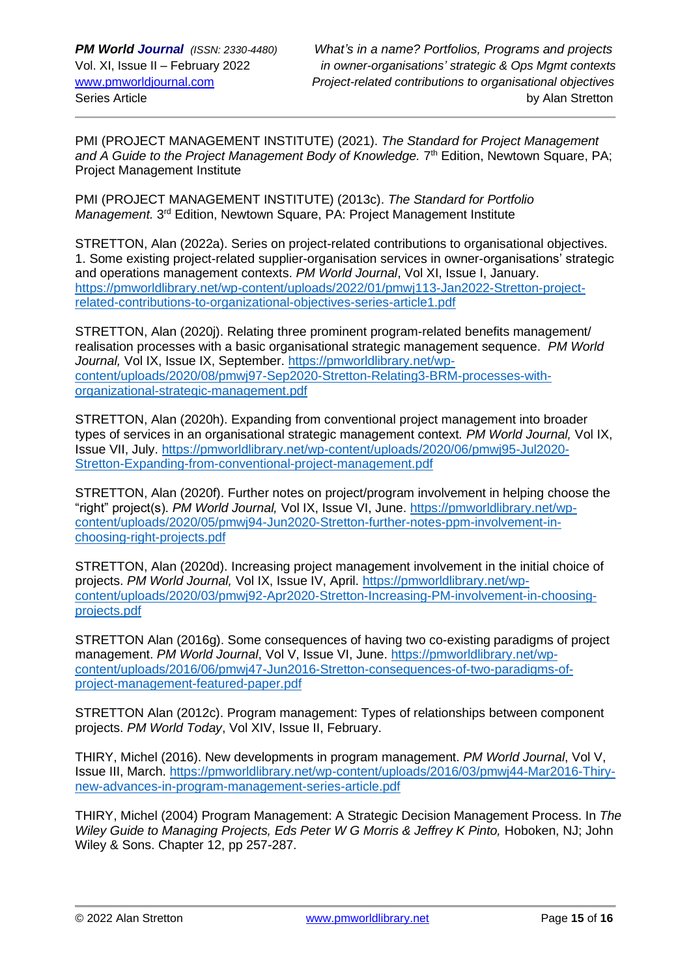PMI (PROJECT MANAGEMENT INSTITUTE) (2021). *The Standard for Project Management*  and A Guide to the Project Management Body of Knowledge. 7<sup>th</sup> Edition, Newtown Square, PA; Project Management Institute

PMI (PROJECT MANAGEMENT INSTITUTE) (2013c). *The Standard for Portfolio*  Management. 3<sup>rd</sup> Edition, Newtown Square, PA: Project Management Institute

STRETTON, Alan (2022a). Series on project-related contributions to organisational objectives. 1. Some existing project-related supplier-organisation services in owner-organisations' strategic and operations management contexts. *PM World Journal*, Vol XI, Issue I, January. [https://pmworldlibrary.net/wp-content/uploads/2022/01/pmwj113-Jan2022-Stretton-project](https://pmworldlibrary.net/wp-content/uploads/2022/01/pmwj113-Jan2022-Stretton-project-related-contributions-to-organizational-objectives-series-article1.pdf)[related-contributions-to-organizational-objectives-series-article1.pdf](https://pmworldlibrary.net/wp-content/uploads/2022/01/pmwj113-Jan2022-Stretton-project-related-contributions-to-organizational-objectives-series-article1.pdf)

STRETTON, Alan (2020j). Relating three prominent program-related benefits management/ realisation processes with a basic organisational strategic management sequence. *PM World Journal,* Vol IX, Issue IX, September. [https://pmworldlibrary.net/wp](https://pmworldlibrary.net/wp-content/uploads/2020/08/pmwj97-Sep2020-Stretton-Relating3-BRM-processes-with-organizational-strategic-management.pdf)[content/uploads/2020/08/pmwj97-Sep2020-Stretton-Relating3-BRM-processes-with](https://pmworldlibrary.net/wp-content/uploads/2020/08/pmwj97-Sep2020-Stretton-Relating3-BRM-processes-with-organizational-strategic-management.pdf)[organizational-strategic-management.pdf](https://pmworldlibrary.net/wp-content/uploads/2020/08/pmwj97-Sep2020-Stretton-Relating3-BRM-processes-with-organizational-strategic-management.pdf)

STRETTON, Alan (2020h). Expanding from conventional project management into broader types of services in an organisational strategic management context*. PM World Journal,* Vol IX, Issue VII, July. [https://pmworldlibrary.net/wp-content/uploads/2020/06/pmwj95-Jul2020-](https://pmworldlibrary.net/wp-content/uploads/2020/06/pmwj95-Jul2020-Stretton-Expanding-from-conventional-project-management.pdf) [Stretton-Expanding-from-conventional-project-management.pdf](https://pmworldlibrary.net/wp-content/uploads/2020/06/pmwj95-Jul2020-Stretton-Expanding-from-conventional-project-management.pdf)

STRETTON, Alan (2020f). Further notes on project/program involvement in helping choose the "right" project(s). *PM World Journal,* Vol IX, Issue VI, June. [https://pmworldlibrary.net/wp](https://pmworldlibrary.net/wp-content/uploads/2020/05/pmwj94-Jun2020-Stretton-further-notes-ppm-involvement-in-choosing-right-projects.pdf)[content/uploads/2020/05/pmwj94-Jun2020-Stretton-further-notes-ppm-involvement-in](https://pmworldlibrary.net/wp-content/uploads/2020/05/pmwj94-Jun2020-Stretton-further-notes-ppm-involvement-in-choosing-right-projects.pdf)[choosing-right-projects.pdf](https://pmworldlibrary.net/wp-content/uploads/2020/05/pmwj94-Jun2020-Stretton-further-notes-ppm-involvement-in-choosing-right-projects.pdf)

STRETTON, Alan (2020d). Increasing project management involvement in the initial choice of projects. *PM World Journal,* Vol IX, Issue IV, April. [https://pmworldlibrary.net/wp](https://pmworldlibrary.net/wp-content/uploads/2020/03/pmwj92-Apr2020-Stretton-Increasing-PM-involvement-in-choosing-projects.pdf)[content/uploads/2020/03/pmwj92-Apr2020-Stretton-Increasing-PM-involvement-in-choosing](https://pmworldlibrary.net/wp-content/uploads/2020/03/pmwj92-Apr2020-Stretton-Increasing-PM-involvement-in-choosing-projects.pdf)[projects.pdf](https://pmworldlibrary.net/wp-content/uploads/2020/03/pmwj92-Apr2020-Stretton-Increasing-PM-involvement-in-choosing-projects.pdf)

STRETTON Alan (2016g). Some consequences of having two co-existing paradigms of project management. *PM World Journal*, Vol V, Issue VI, June. [https://pmworldlibrary.net/wp](https://pmworldlibrary.net/wp-content/uploads/2016/06/pmwj47-Jun2016-Stretton-consequences-of-two-paradigms-of-project-management-featured-paper.pdf)[content/uploads/2016/06/pmwj47-Jun2016-Stretton-consequences-of-two-paradigms-of](https://pmworldlibrary.net/wp-content/uploads/2016/06/pmwj47-Jun2016-Stretton-consequences-of-two-paradigms-of-project-management-featured-paper.pdf)[project-management-featured-paper.pdf](https://pmworldlibrary.net/wp-content/uploads/2016/06/pmwj47-Jun2016-Stretton-consequences-of-two-paradigms-of-project-management-featured-paper.pdf)

STRETTON Alan (2012c). Program management: Types of relationships between component projects. *PM World Today*, Vol XIV, Issue II, February.

THIRY, Michel (2016). New developments in program management. *PM World Journal*, Vol V, Issue III, March. [https://pmworldlibrary.net/wp-content/uploads/2016/03/pmwj44-Mar2016-Thiry](https://pmworldlibrary.net/wp-content/uploads/2016/03/pmwj44-Mar2016-Thiry-new-advances-in-program-management-series-article.pdf)[new-advances-in-program-management-series-article.pdf](https://pmworldlibrary.net/wp-content/uploads/2016/03/pmwj44-Mar2016-Thiry-new-advances-in-program-management-series-article.pdf)

THIRY, Michel (2004) Program Management: A Strategic Decision Management Process. In *The Wiley Guide to Managing Projects, Eds Peter W G Morris & Jeffrey K Pinto, Hoboken, NJ; John* Wiley & Sons. Chapter 12, pp 257-287.